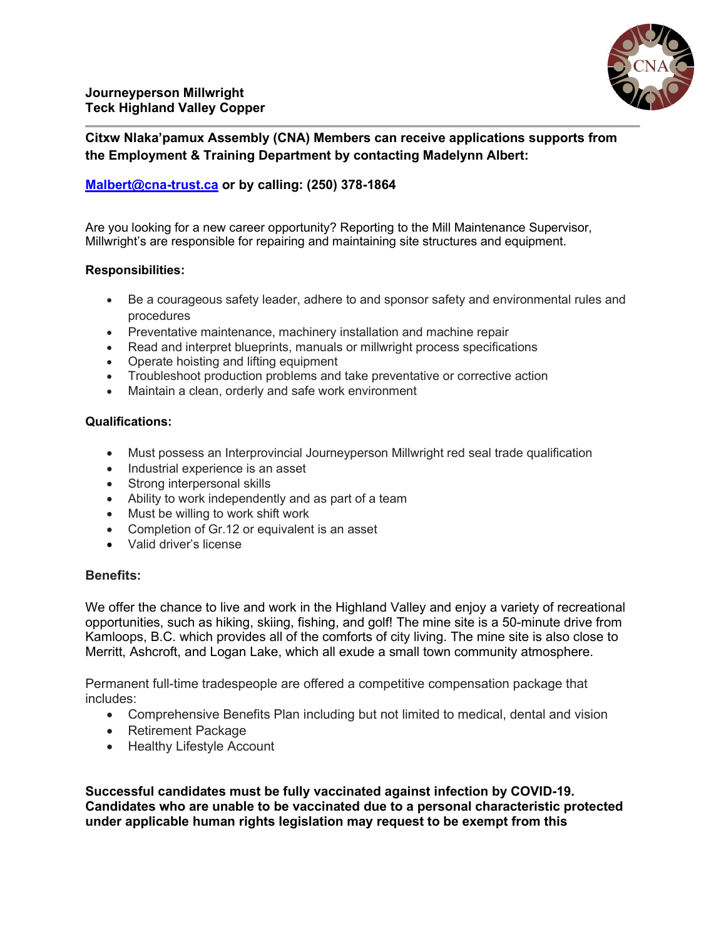**Citxw Nlaka'pamux Assembly (CNA) Members can receive applications supports from the Employment & Training Department by contacting Madelynn Albert:**

# **[Malbert@cna-trust.ca](mailto:Malbert@cna-trust.ca) or by calling: (250) 378-1864**

Are you looking for a new career opportunity? Reporting to the Mill Maintenance Supervisor, Millwright's are responsible for repairing and maintaining site structures and equipment.

### **Responsibilities:**

- Be a courageous safety leader, adhere to and sponsor safety and environmental rules and procedures
- Preventative maintenance, machinery installation and machine repair
- Read and interpret blueprints, manuals or millwright process specifications
- Operate hoisting and lifting equipment
- Troubleshoot production problems and take preventative or corrective action
- Maintain a clean, orderly and safe work environment

## **Qualifications:**

- Must possess an Interprovincial Journeyperson Millwright red seal trade qualification
- Industrial experience is an asset
- Strong interpersonal skills
- Ability to work independently and as part of a team
- Must be willing to work shift work
- Completion of Gr.12 or equivalent is an asset
- Valid driver's license

# **Benefits:**

We offer the chance to live and work in the Highland Valley and enjoy a variety of recreational opportunities, such as hiking, skiing, fishing, and golf! The mine site is a 50-minute drive from Kamloops, B.C. which provides all of the comforts of city living. The mine site is also close to Merritt, Ashcroft, and Logan Lake, which all exude a small town community atmosphere.

Permanent full-time tradespeople are offered a competitive compensation package that includes: 

- Comprehensive Benefits Plan including but not limited to medical, dental and vision
- Retirement Package
- Healthy Lifestyle Account

**Successful candidates must be fully vaccinated against infection by COVID-19. Candidates who are unable to be vaccinated due to a personal characteristic protected under applicable human rights legislation may request to be exempt from this**